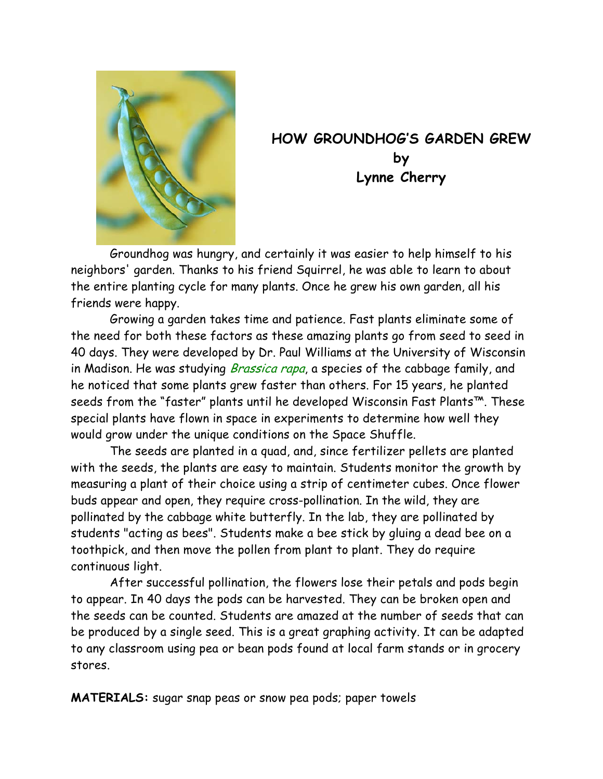

## **HOW GROUNDHOG'S GARDEN GREW by Lynne Cherry**

Groundhog was hungry, and certainly it was easier to help himself to his neighbors' garden. Thanks to his friend Squirrel, he was able to learn to about the entire planting cycle for many plants. Once he grew his own garden, all his friends were happy.

Growing a garden takes time and patience. Fast plants eliminate some of the need for both these factors as these amazing plants go from seed to seed in 40 days. They were developed by Dr. Paul Williams at the University of Wisconsin in Madison. He was studying *Brassica rapa*, a species of the cabbage family, and he noticed that some plants grew faster than others. For 15 years, he planted seeds from the "faster" plants until he developed Wisconsin Fast Plants™. These special plants have flown in space in experiments to determine how well they would grow under the unique conditions on the Space Shuffle.

The seeds are planted in a quad, and, since fertilizer pellets are planted with the seeds, the plants are easy to maintain. Students monitor the growth by measuring a plant of their choice using a strip of centimeter cubes. Once flower buds appear and open, they require cross-pollination. In the wild, they are pollinated by the cabbage white butterfly. In the lab, they are pollinated by students "acting as bees". Students make a bee stick by gluing a dead bee on a toothpick, and then move the pollen from plant to plant. They do require continuous light.

After successful pollination, the flowers lose their petals and pods begin to appear. In 40 days the pods can be harvested. They can be broken open and the seeds can be counted. Students are amazed at the number of seeds that can be produced by a single seed. This is a great graphing activity. It can be adapted to any classroom using pea or bean pods found at local farm stands or in grocery stores.

**MATERIALS:** sugar snap peas or snow pea pods; paper towels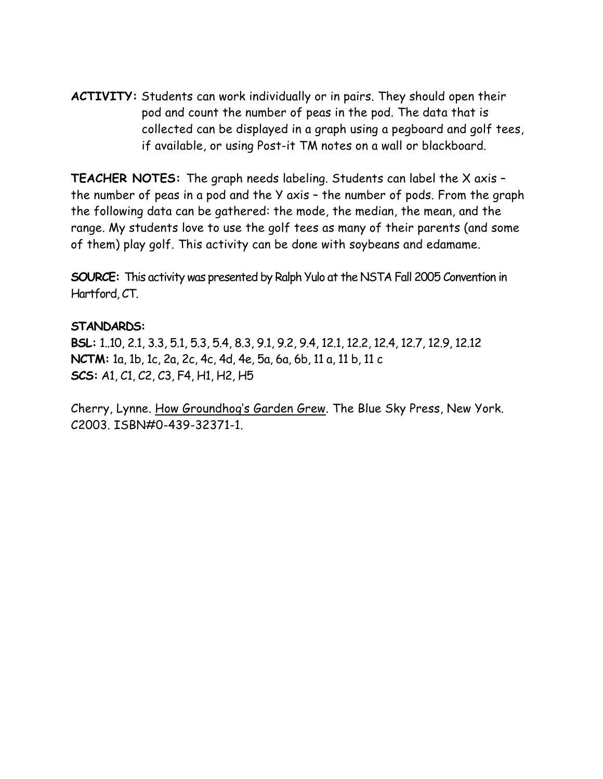**ACTIVITY:** Students can work individually or in pairs. They should open their pod and count the number of peas in the pod. The data that is collected can be displayed in a graph using a pegboard and golf tees, if available, or using Post-it TM notes on a wall or blackboard.

**TEACHER NOTES:** The graph needs labeling. Students can label the X axis – the number of peas in a pod and the Y axis – the number of pods. From the graph the following data can be gathered: the mode, the median, the mean, and the range. My students love to use the golf tees as many of their parents (and some of them) play golf. This activity can be done with soybeans and edamame.

**SOURCE:** This activity was presented by Ralph Yulo at the NSTA Fall 2005 Convention in Hartford, CT.

## **STANDARDS:**

**BSL:** 1..10, 2.1, 3.3, 5.1, 5.3, 5.4, 8.3, 9.1, 9.2, 9.4, 12.1, 12.2, 12.4, 12.7, 12.9, 12.12 **NCTM:** 1a, 1b, 1c, 2a, 2c, 4c, 4d, 4e, 5a, 6a, 6b, 11 a, 11 b, 11 c **SCS:** A1, C1, C2, C3, F4, H1, H2, H5

Cherry, Lynne. How Groundhog's Garden Grew. The Blue Sky Press, New York. C2003. ISBN#0-439-32371-1.